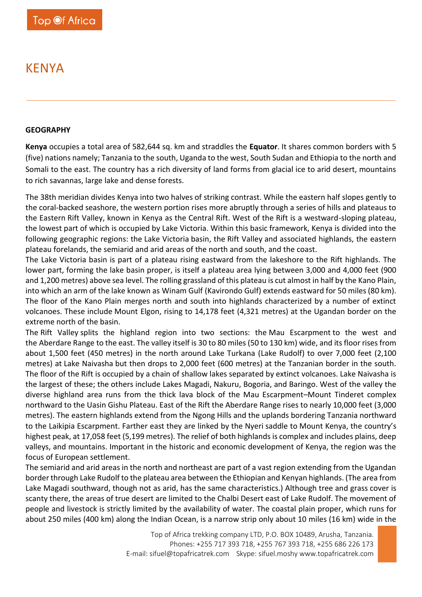# KENYA

#### **GEOGRAPHY**

**Kenya** occupies a total area of 582,644 sq. km and straddles the **Equator**. It shares common borders with 5 (five) nations namely; Tanzania to the south, Uganda to the west, South Sudan and Ethiopia to the north and Somali to the east. The country has a rich diversity of land forms from glacial ice to arid desert, mountains to rich savannas, large lake and dense forests.

The 38th meridian divides Kenya into two halves of striking contrast. While the eastern half slopes gently to the coral-backed seashore, the western portion rises more abruptly through a series of hills and plateaus to the Eastern [Rift Valley,](https://www.britannica.com/science/rift-valley) known in Kenya as the Central Rift. West of the Rift is a westward-sloping plateau, the lowest part of which is occupied by Lake Victoria. Within this basic framework, Kenya is divided into the following geographic regions: the Lake Victoria basin, the [Rift Valley](https://www.britannica.com/place/Eastern-Rift-Valley) and associated highlands, the eastern plateau forelands, the semiarid and arid areas of the north and south, and the coast.

The Lake Victoria basin is part of a plateau rising eastward from the lakeshore to the Rift highlands. The lower part, forming the lake basin proper, is itself a plateau area lying between 3,000 and 4,000 feet (900 and 1,200 metres) above sea level. The rolling grassland of this plateau is cut almost in half by the Kano Plain, into which an arm of the lake known as [Winam Gulf](https://www.britannica.com/place/Winam-Gulf) (Kavirondo Gulf) extends eastward for 50 miles (80 km). The floor of the Kano Plain merges north and south into highlands characterized by a number of extinct volcanoes. These include [Mount Elgon,](https://www.britannica.com/place/Mount-Elgon) rising to 14,178 feet (4,321 metres) at the Ugandan border on the extreme north of the basin.

The [Rift Valley](https://www.britannica.com/place/Central-Rift-Valley) splits the highland region into two sections: the [Mau Escarpment](https://www.britannica.com/place/Mau-Escarpment) to the west and the [Aberdare Range](https://www.britannica.com/place/Aberdare-Range) to the east. The valley itself is 30 to 80 miles (50 to 130 km) wide, and its floor rises from about 1,500 feet (450 metres) in the north around Lake Turkana [\(Lake Rudolf\)](https://www.britannica.com/place/Lake-Rudolf) to over 7,000 feet (2,100 metres) at [Lake Naivasha](https://www.britannica.com/place/Lake-Naivasha) but then drops to 2,000 feet (600 metres) at the Tanzanian border in the south. The floor of the Rift is occupied by a chain of shallow lakes separated by extinct volcanoes. Lake Naivasha is the largest of these; the others include Lakes [Magadi,](https://www.britannica.com/place/Lake-Magadi) [Nakuru,](https://www.britannica.com/place/Lake-Nakuru) Bogoria, and [Baringo.](https://www.britannica.com/place/Lake-Baringo) West of the valley the diverse highland area runs from the thick lava block of the Mau Escarpment–Mount Tinderet complex northward to the Uasin Gishu Plateau. East of the Rift the Aberdare Range rises to nearly 10,000 feet (3,000 metres). The eastern highlands extend from the Ngong Hills and the uplands bordering Tanzania northward to the Laikipia Escarpment. Farther east they are linked by the [Nyeri](https://www.britannica.com/place/Nyeri) saddle to [Mount Kenya](https://www.britannica.com/place/Mount-Kenya), the country's highest peak, at 17,058 feet (5,199 metres). The relief of both highlands is complex and includes plains, deep valleys, and mountains. Important in the historic and economic development of Kenya, the region was the focus of European settlement.

The semiarid and arid areas in the north and northeast are part of a vast region extending from the Ugandan border through Lake Rudolf to the plateau area between the Ethiopian and Kenyan highlands. (The area from Lake Magadi southward, though not as arid, has the same characteristics.) Although tree and grass cover is scanty there, the areas of true desert are limited to the Chalbi Desert east of Lake Rudolf. The movement of people and livestock is strictly limited by the availability of water. The coastal plain proper, which runs for about 250 miles (400 km) along the [Indian Ocean,](https://www.britannica.com/place/Indian-Ocean) is a narrow strip only about 10 miles (16 km) wide in the

> Top of Africa trekking company LTD, P.O. BOX 10489, Arusha, Tanzania. Phones: +255 717 393 718, +255 767 393 718, +255 686 226 173 E-mail: sifuel@topafricatrek.com Skype: sifuel.moshy www.topafricatrek.com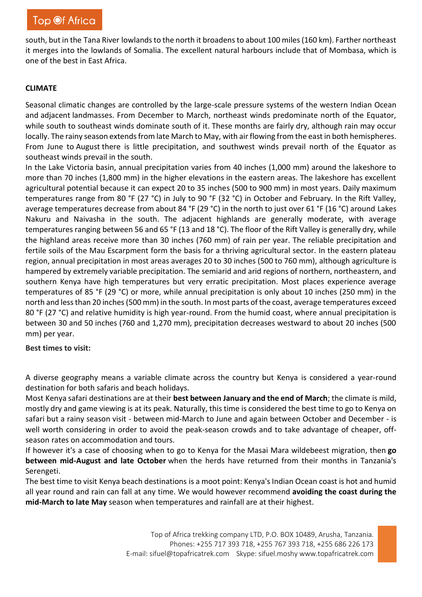south, but in the [Tana River](https://www.britannica.com/place/Tana-River-Kenya) lowlands to the north it broadens to about 100 miles (160 km). Farther northeast it merges into the lowlands of Somalia. The excellent natural harbours include that of [Mombasa,](https://www.britannica.com/place/Mombasa) which is one of the best in East Africa.

# **CLIMATE**

Seasonal climatic changes are controlled by the large-scale pressure systems of the western Indian Ocean and [adjacent](https://www.merriam-webster.com/dictionary/adjacent) landmasses. From December to March, northeast winds predominate north of the Equator, while south to southeast winds dominate south of it. These months are fairly dry, although rain may occur locally. The rainy season extends from late March to May, with air flowing from the east in both hemispheres. From June to [August](https://www.merriam-webster.com/dictionary/August) there is little precipitation, and southwest winds prevail north of the Equator as southeast winds prevail in the south.

In the Lake Victoria basin, annual precipitation varies from 40 inches (1,000 mm) around the lakeshore to more than 70 inches (1,800 mm) in the higher elevations in the eastern areas. The lakeshore has excellent agricultural potential because it can expect 20 to 35 inches (500 to 900 mm) in most years. Daily maximum temperatures range from 80 °F (27 °C) in July to 90 °F (32 °C) in October and February. In the Rift Valley, average temperatures decrease from about 84 °F (29 °C) in the north to just over 61 °F (16 °C) around Lakes Nakuru and Naivasha in the south. The adjacent highlands are generally moderate, with average temperatures ranging between 56 and 65 °F (13 and 18 °C). The floor of the Rift Valley is generally dry, while the highland areas receive more than 30 inches (760 mm) of rain per year. The reliable precipitation and fertile soils of the Mau Escarpment form the basis for a thriving agricultural sector. In the eastern plateau region, annual precipitation in most areas averages 20 to 30 inches (500 to 760 mm), although agriculture is hampered by extremely variable precipitation. The semiarid and arid regions of northern, northeastern, and southern Kenya have high temperatures but very erratic precipitation. Most places experience average temperatures of 85 °F (29 °C) or more, while annual precipitation is only about 10 inches (250 mm) in the north and less than 20 inches (500 mm) in the south. In most parts of the coast, average temperatures exceed 80 °F (27 °C) and relative humidity is high year-round. From the humid coast, where annual precipitation is between 30 and 50 inches (760 and 1,270 mm), precipitation decreases westward to about 20 inches (500 mm) per year.

**Best times to visit:**

A diverse geography means a variable climate across the country but Kenya is considered a year-round destination for both safaris and beach holidays.

Most [Kenya safari](http://www.go2africa.com/location/226/why-go/kenya) destinations are at their **best between January and the end of March**; the climate is mild, mostly dry and game viewing is at its peak. Naturally, this time is considered the best time to go to Kenya on safari but a rainy season visit - between mid-March to June and again between October and December - is well worth considering in order to avoid the peak-season crowds and to take advantage of cheaper, offseason rates on accommodation and tours.

If however it's a case of choosing when to go to Kenya for the [Masai Mara wildebeest migration,](http://www.go2africa.com/holiday-type/7210/why-go/migration-safari) then **go between mid-August and late October** when the herds have returned from their months in Tanzania's Serengeti.

The best time to visit [Kenya beach destinations](http://www.go2africa.com/location/7198/why-go/kenya-beaches) is a moot point: Kenya's Indian Ocean coast is hot and humid all year round and rain can fall at any time. We would however recommend **avoiding the coast during the mid-March to late May** season when temperatures and rainfall are at their highest.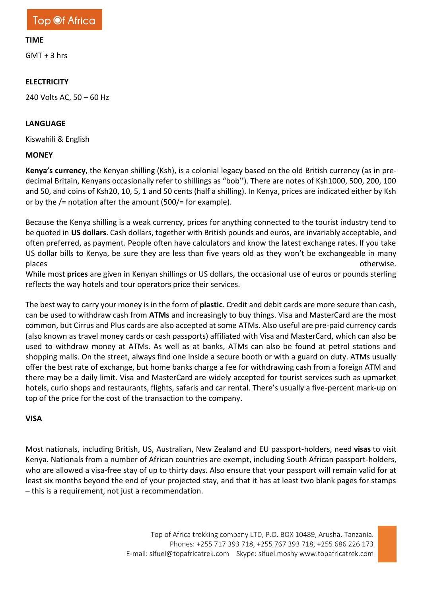

### **TIME**

 $GMT + 3$  hrs

### **ELECTRICITY**

240 Volts AC, 50 – 60 Hz

### **LANGUAGE**

Kiswahili & English

#### **MONEY**

**Kenya's currency**, the Kenyan shilling (Ksh), is a colonial legacy based on the old British currency (as in predecimal Britain, Kenyans occasionally refer to shillings as "bob''). There are notes of Ksh1000, 500, 200, 100 and 50, and coins of Ksh20, 10, 5, 1 and 50 cents (half a shilling). In Kenya, prices are indicated either by Ksh or by the /= notation after the amount (500/= for example).

Because the Kenya shilling is a weak currency, prices for anything connected to the tourist industry tend to be quoted in **US dollars**. Cash dollars, together with British pounds and euros, are invariably acceptable, and often preferred, as payment. People often have calculators and know the latest exchange rates. If you take US dollar bills to Kenya, be sure they are less than five years old as they won't be exchangeable in many places and the control of the control of the control of the control of the control of the control of the control of the control of the control of the control of the control of the control of the control of the control of t

While most **prices** are given in Kenyan shillings or US dollars, the occasional use of euros or pounds sterling reflects the way hotels and tour operators price their services.

The best way to carry your money is in the form of **plastic**. Credit and debit cards are more secure than cash, can be used to withdraw cash from **ATMs** and increasingly to buy things. Visa and MasterCard are the most common, but Cirrus and Plus cards are also accepted at some ATMs. Also useful are pre-paid currency cards (also known as travel money cards or cash passports) affiliated with Visa and MasterCard, which can also be used to withdraw money at ATMs. As well as at banks, ATMs can also be found at petrol stations and shopping malls. On the street, always find one inside a secure booth or with a guard on duty. ATMs usually offer the best rate of exchange, but home banks charge a fee for withdrawing cash from a foreign ATM and there may be a daily limit. Visa and MasterCard are widely accepted for tourist services such as upmarket hotels, curio shops and restaurants, flights, safaris and car rental. There's usually a five-percent mark-up on top of the price for the cost of the transaction to the company.

### **VISA**

Most nationals, including British, US, Australian, New Zealand and EU passport-holders, need **visas** to visit Kenya. Nationals from a number of African countries are exempt, including South African passport-holders, who are allowed a visa-free stay of up to thirty days. Also ensure that your passport will remain valid for at least six months beyond the end of your projected stay, and that it has at least two blank pages for stamps – this is a requirement, not just a recommendation.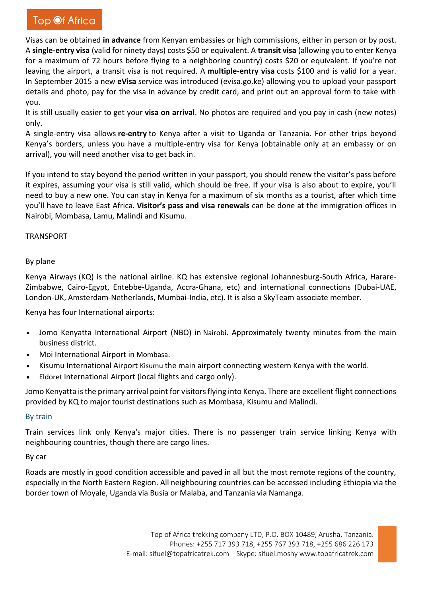# **Top Of Africa**

Visas can be obtained **in advance** from Kenyan embassies or high commissions, either in person or by post. A **single-entry visa** (valid for ninety days) costs \$50 or equivalent. A **transit visa** (allowing you to enter Kenya for a maximum of 72 hours before flying to a neighboring country) costs \$20 or equivalent. If you're not leaving the airport, a transit visa is not required. A **multiple-entry visa** costs \$100 and is valid for a year. In September 2015 a new **eVisa** service was introduced [\(evisa.go.ke\)](http://evisa.go.ke/evisa.html) allowing you to upload your passport details and photo, pay for the visa in advance by credit card, and print out an approval form to take with you.

It is still usually easier to get your **visa on arrival**. No photos are required and you pay in cash (new notes) only.

A single-entry visa allows **re-entry** to Kenya after a visit to Uganda or Tanzania. For other trips beyond Kenya's borders, unless you have a multiple-entry visa for Kenya (obtainable only at an embassy or on arrival), you will need another visa to get back in.

If you intend to stay beyond the period written in your passport, you should renew the visitor's pass before it expires, assuming your visa is still valid, which should be free. If your visa is also about to expire, you'll need to buy a new one. You can stay in Kenya for a maximum of six months as a tourist, after which time you'll have to leave East Africa. **Visitor's pass and visa renewals** can be done at the immigration offices in Nairobi, Mombasa, Lamu, Malindi and Kisumu.

# TRANSPORT

# By plane

[Kenya Airways](http://www.kenya-airways.com/) (KQ) is the national airline. KQ has extensive regional Johannesburg-South Africa, Harare-Zimbabwe, Cairo-Egypt, Entebbe-Uganda, Accra-Ghana, etc) and international connections (Dubai-UAE, London-UK, Amsterdam-Netherlands, Mumbai-India, etc). It is also a SkyTeam associate member.

Kenya has four International airports:

- Jomo Kenyatta International Airport (NBO) in [Nairobi](http://wikitravel.org/en/Nairobi). Approximately twenty minutes from the main business district.
- Moi International Airport in [Mombasa](http://wikitravel.org/en/Mombasa).
- Kisumu International Airport [Kisumu](http://wikitravel.org/en/Kisumu) the main airport connecting western Kenya with the world.
- [Eldoret](http://wikitravel.org/en/Eldoret) International Airport (local flights and cargo only).

Jomo Kenyatta is the primary arrival point for visitors flying into Kenya. There are excellent flight connections provided by KQ to major tourist destinations such as Mombasa, Kisumu and Malindi.

### By train

Train services link only Kenya's major cities. There is no passenger train service linking Kenya with neighbouring countries, though there are cargo lines.

### By car

Roads are mostly in good condition accessible and paved in all but the most remote regions of the country, especially in the North Eastern Region. All neighbouring countries can be accessed including Ethiopia via the border town of [Moyale,](http://wikitravel.org/en/Moyale) Uganda via Busia or Malaba, and Tanzania via Namanga.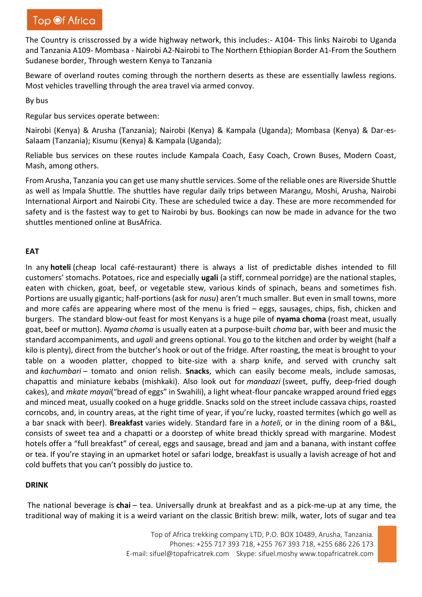# **Top Of Africa**

The Country is crisscrossed by a wide highway network, this includes:- A104- This links Nairobi to Uganda and Tanzania A109- Mombasa - Nairobi A2-Nairobi to The Northern Ethiopian Border A1-From the Southern Sudanese border, Through western Kenya to Tanzania

Beware of overland routes coming through the northern deserts as these are essentially lawless regions. Most vehicles travelling through the area travel via armed convoy.

By bus

Regular bus services operate between:

Nairobi (Kenya) & Arusha (Tanzania); Nairobi (Kenya) & Kampala (Uganda); Mombasa (Kenya) & Dar-es-Salaam (Tanzania); Kisumu (Kenya) & Kampala (Uganda);

Reliable bus services on these routes include Kampala Coach, Easy Coach, Crown Buses, Modern Coast, Mash, among others.

From Arusha, Tanzania you can get use many shuttle services. Some of the reliable ones are Riverside Shuttle as well as Impala Shuttle. The shuttles have regular daily trips between Marangu, Moshi, Arusha, Nairobi International Airport and Nairobi City. These are scheduled twice a day. These are more recommended for safety and is the fastest way to get to Nairobi by bus. Bookings can now be made in advance for the two shuttles mentioned online at [BusAfrica.](http://www.busafrica.net/)

# **EAT**

In any **hoteli** (cheap local café-restaurant) there is always a list of predictable dishes intended to fill customers' stomachs. Potatoes, rice and especially **ugali** (a stiff, cornmeal porridge) are the national staples, eaten with chicken, goat, beef, or vegetable stew, various kinds of spinach, beans and sometimes fish. Portions are usually gigantic; half-portions (ask for *nusu*) aren't much smaller. But even in small towns, more and more cafés are appearing where most of the menu is fried – eggs, sausages, chips, fish, chicken and burgers. The standard blow-out feast for most Kenyans is a huge pile of **nyama choma** (roast meat, usually goat, beef or mutton). *Nyama choma* is usually eaten at a purpose-built *choma* bar, with beer and music the standard accompaniments, and *ugali* and greens optional. You go to the kitchen and order by weight (half a kilo is plenty), direct from the butcher's hook or out of the fridge. After roasting, the meat is brought to your table on a wooden platter, chopped to bite-size with a sharp knife, and served with crunchy salt and *kachumbari* – tomato and onion relish. **Snacks**, which can easily become meals, include samosas, chapattis and miniature kebabs (mishkaki). Also look out for *mandaazi* (sweet, puffy, deep-fried dough cakes), and *mkate mayai*("bread of eggs" in Swahili), a light wheat-flour pancake wrapped around fried eggs and minced meat, usually cooked on a huge griddle. Snacks sold on the street include cassava chips, roasted corncobs, and, in country areas, at the right time of year, if you're lucky, roasted termites (which go well as a bar snack with beer). **Breakfast** varies widely. Standard fare in a *hoteli*, or in the dining room of a B&L, consists of sweet tea and a chapatti or a doorstep of white bread thickly spread with margarine. Modest hotels offer a "full breakfast" of cereal, eggs and sausage, bread and jam and a banana, with instant coffee or tea. If you're staying in an upmarket hotel or safari lodge, breakfast is usually a lavish acreage of hot and cold buffets that you can't possibly do justice to.

# **DRINK**

The national beverage is **chai** – tea. Universally drunk at breakfast and as a pick-me-up at any time, the traditional way of making it is a weird variant on the classic British brew: milk, water, lots of sugar and tea

> Top of Africa trekking company LTD, P.O. BOX 10489, Arusha, Tanzania. Phones: +255 717 393 718, +255 767 393 718, +255 686 226 173 E-mail: sifuel@topafricatrek.com Skype: sifuel.moshy www.topafricatrek.com

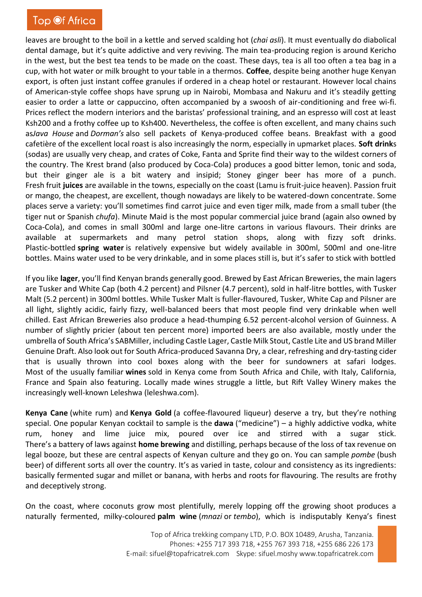# **Top Of Africa**

leaves are brought to the boil in a kettle and served scalding hot (*chai asli*). It must eventually do diabolical dental damage, but it's quite addictive and very reviving. The main tea-producing region is around Kericho in the west, but the best tea tends to be made on the coast. These days, tea is all too often a tea bag in a cup, with hot water or milk brought to your table in a thermos. **Coffee**, despite being another huge Kenyan export, is often just instant coffee granules if ordered in a cheap hotel or restaurant. However local chains of American-style coffee shops have sprung up in Nairobi, Mombasa and Nakuru and it's steadily getting easier to order a latte or cappuccino, often accompanied by a swoosh of air-conditioning and free wi-fi. Prices reflect the modern interiors and the baristas' professional training, and an espresso will cost at least Ksh200 and a frothy coffee up to Ksh400. Nevertheless, the coffee is often excellent, and many chains such as*Java House* and *Dorman's* also sell packets of Kenya-produced coffee beans. Breakfast with a good cafetière of the excellent local roast is also increasingly the norm, especially in upmarket places. **Soft drink**s (sodas) are usually very cheap, and crates of Coke, Fanta and Sprite find their way to the wildest corners of the country. The Krest brand (also produced by Coca-Cola) produces a good bitter lemon, tonic and soda, but their ginger ale is a bit watery and insipid; Stoney ginger beer has more of a punch. Fresh fruit **juices** are available in the towns, especially on the coast (Lamu is fruit-juice heaven). Passion fruit or mango, the cheapest, are excellent, though nowadays are likely to be watered-down concentrate. Some places serve a variety: you'll sometimes find carrot juice and even tiger milk, made from a small tuber (the tiger nut or Spanish *chufa*). Minute Maid is the most popular commercial juice brand (again also owned by Coca-Cola), and comes in small 300ml and large one-litre cartons in various flavours. Their drinks are available at supermarkets and many petrol station shops, along with fizzy soft drinks. Plastic-bottled **spring water** is relatively expensive but widely available in 300ml, 500ml and one-litre bottles. Mains water used to be very drinkable, and in some places still is, but it's safer to stick with bottled

If you like **lager**, you'll find Kenyan brands generally good. Brewed by East African Breweries, the main lagers are Tusker and White Cap (both 4.2 percent) and Pilsner (4.7 percent), sold in half-litre bottles, with Tusker Malt (5.2 percent) in 300ml bottles. While Tusker Malt is fuller-flavoured, Tusker, White Cap and Pilsner are all light, slightly acidic, fairly fizzy, well-balanced beers that most people find very drinkable when well chilled. East African Breweries also produce a head-thumping 6.52 percent-alcohol version of Guinness. A number of slightly pricier (about ten percent more) imported beers are also available, mostly under the umbrella of South Africa's SABMiller, including Castle Lager, Castle Milk Stout, Castle Lite and US brand Miller Genuine Draft. Also look out for South Africa-produced Savanna Dry, a clear, refreshing and dry-tasting cider that is usually thrown into cool boxes along with the beer for sundowners at safari lodges. Most of the usually familiar **wines** sold in Kenya come from South Africa and Chile, with Italy, California, France and Spain also featuring. Locally made wines struggle a little, but Rift Valley Winery makes the increasingly well-known Leleshwa [\(leleshwa.com\)](http://leleshwa.com/).

**Kenya Cane** (white rum) and **Kenya Gold** (a coffee-flavoured liqueur) deserve a try, but they're nothing special. One popular Kenyan cocktail to sample is the **dawa** ("medicine") – a highly addictive vodka, white rum, honey and lime juice mix, poured over ice and stirred with a sugar stick. There's a battery of laws against **home brewing** and distilling, perhaps because of the loss of tax revenue on legal booze, but these are central aspects of Kenyan culture and they go on. You can sample *pombe* (bush beer) of different sorts all over the country. It's as varied in taste, colour and consistency as its ingredients: basically fermented sugar and millet or banana, with herbs and roots for flavouring. The results are frothy and deceptively strong.

On the coast, where coconuts grow most plentifully, merely lopping off the growing shoot produces a naturally fermented, milky-coloured **palm wine** (*mnazi* or *tembo*), which is indisputably Kenya's finest